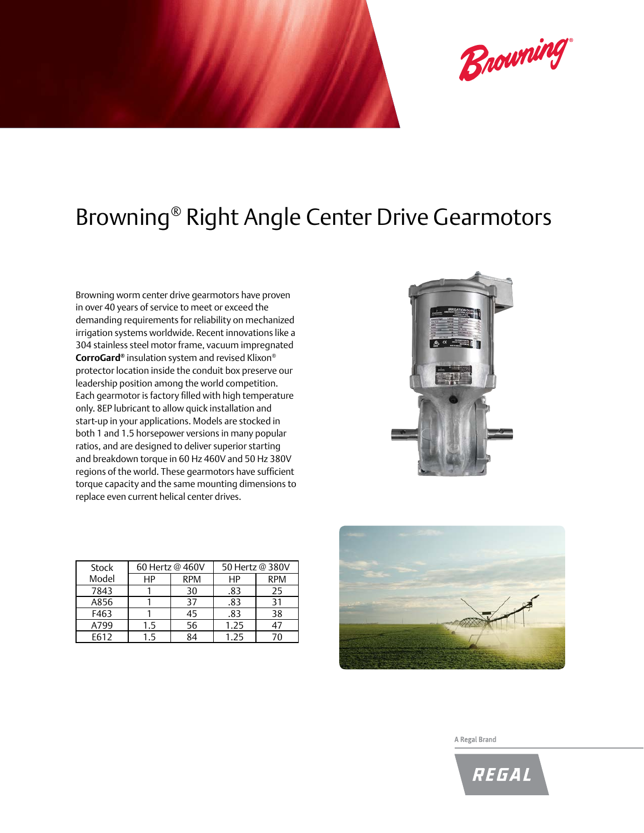

## Browning® Right Angle Center Drive Gearmotors

Browning worm center drive gearmotors have proven in over 40 years of service to meet or exceed the demanding requirements for reliability on mechanized irrigation systems worldwide. Recent innovations like a 304 stainless steel motor frame, vacuum impregnated **CorroGard®** insulation system and revised Klixon® protector location inside the conduit box preserve our leadership position among the world competition. Each gearmotor is factory filled with high temperature only. 8EP lubricant to allow quick installation and start-up in your applications. Models are stocked in both 1 and 1.5 horsepower versions in many popular ratios, and are designed to deliver superior starting and breakdown torque in 60 Hz 460V and 50 Hz 380V regions of the world. These gearmotors have sufficient torque capacity and the same mounting dimensions to replace even current helical center drives.

| Stock | 60 Hertz @ 460V |            | 50 Hertz @ 380V |            |
|-------|-----------------|------------|-----------------|------------|
| Model | НP              | <b>RPM</b> | HP              | <b>RPM</b> |
| 7843  |                 | 30         | .83             | 25         |
| A856  |                 | 37         | .83             | 31         |
| F463  |                 | 45         | .83             | 38         |
| A799  | 1.5             | 56         | 1.25            |            |
| F612  | 15              | 84         | 1.25            |            |





A Regal Brand